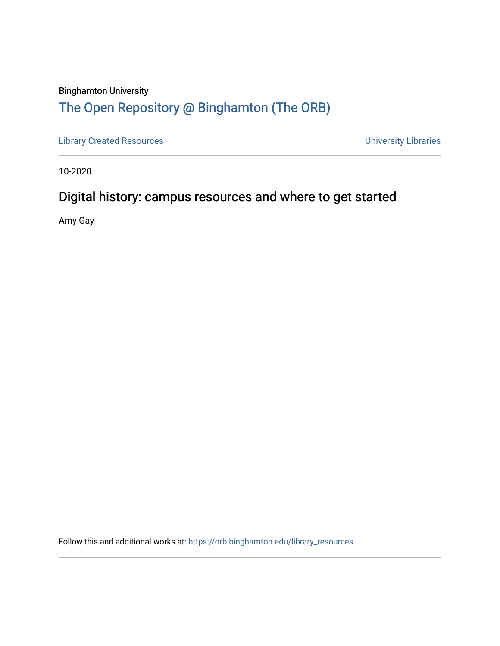#### Binghamton University

#### [The Open Repository @ Binghamton \(The ORB\)](https://orb.binghamton.edu/)

[Library Created Resources](https://orb.binghamton.edu/library_resources) **Value 2018** University Libraries

10-2020

#### Digital history: campus resources and where to get started

Amy Gay

Follow this and additional works at: [https://orb.binghamton.edu/library\\_resources](https://orb.binghamton.edu/library_resources?utm_source=orb.binghamton.edu%2Flibrary_resources%2F6&utm_medium=PDF&utm_campaign=PDFCoverPages)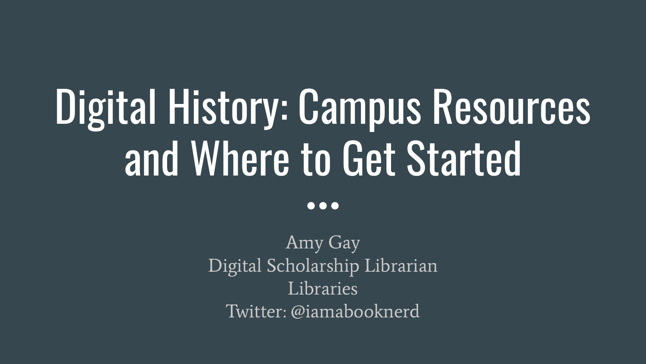## Digital History: Campus Resources and Where to Get Started

 $\bullet\bullet\bullet$ 

Amy Gay Digital Scholarship Librarian Libraries Twitter: @iamabooknerd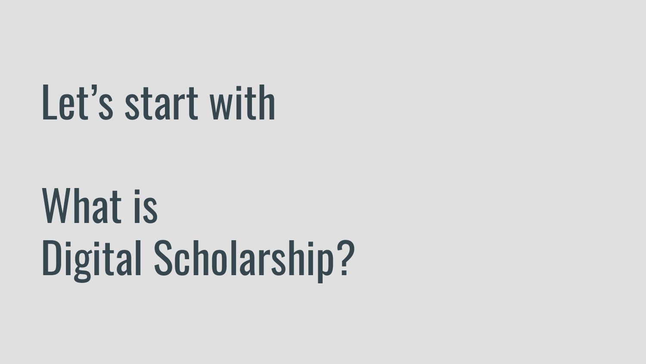## Let's start with

## What is Digital Scholarship?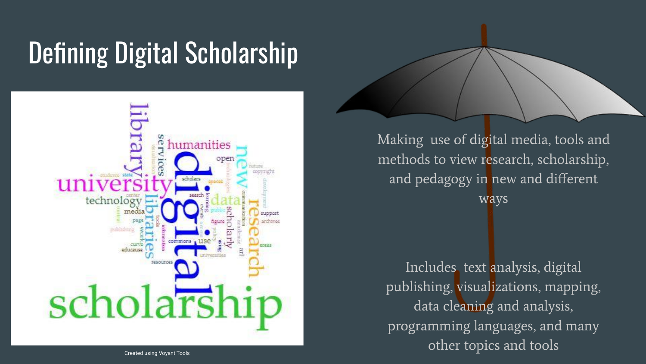## Defining Digital Scholarship



Making use of digital media, tools and methods to view research, scholarship, and pedagogy in new and different ways

Includes text analysis, digital publishing, visualizations, mapping, data cleaning and analysis, programming languages, and many other topics and tools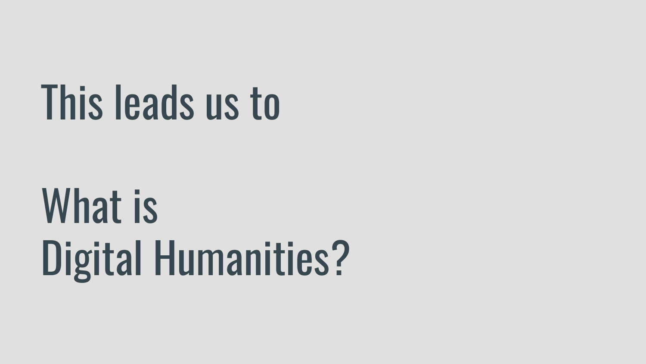## This leads us to

## What is Digital Humanities?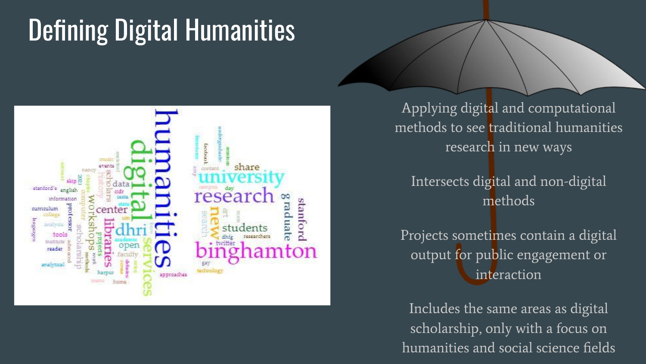## Defining Digital Humanities



Applying digital and computational methods to see traditional humanities research in new ways

Intersects digital and non-digital methods

Projects sometimes contain a digital output for public engagement or interaction

Includes the same areas as digital scholarship, only with a focus on humanities and social science fields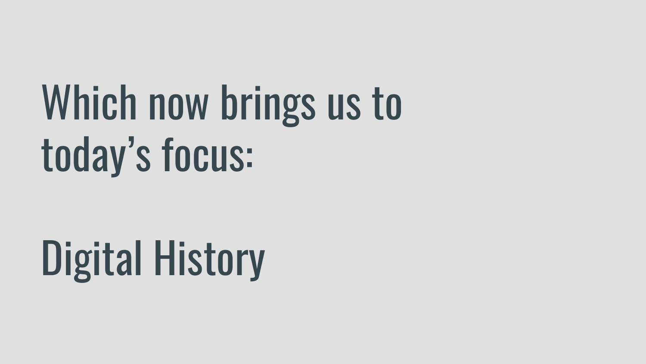## Which now brings us to today's focus:

## Digital History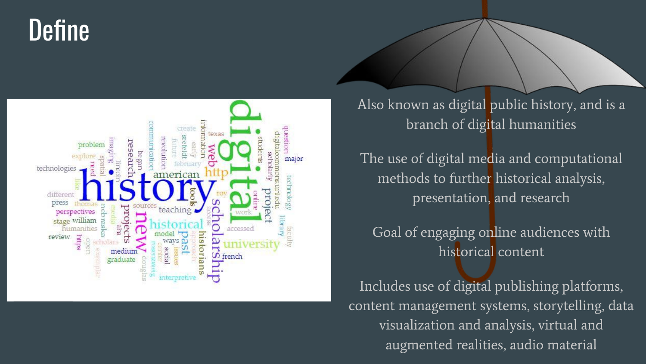### Define



Also known as digital public history, and is a branch of digital humanities

The use of digital media and computational methods to further historical analysis, presentation, and research

Goal of engaging online audiences with historical content

Includes use of digital publishing platforms, content management systems, storytelling, data visualization and analysis, virtual and augmented realities, audio material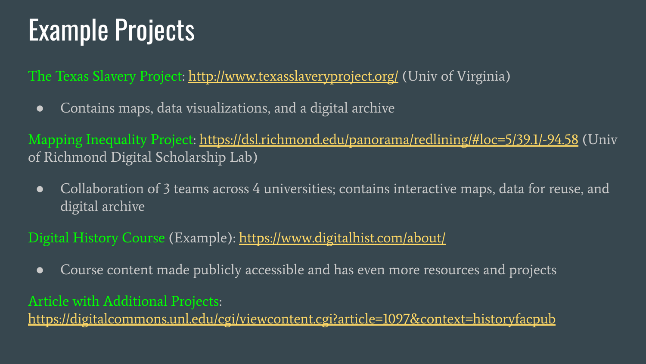## Example Projects

The Texas Slavery Project: <http://www.texasslaveryproject.org/>(Univ of Virginia)

● Contains maps, data visualizations, and a digital archive

Mapping Inequality Project:<https://dsl.richmond.edu/panorama/redlining/#loc=5/39.1/-94.58> (Univ of Richmond Digital Scholarship Lab)

● Collaboration of 3 teams across 4 universities; contains interactive maps, data for reuse, and digital archive

#### Digital History Course (Example):<https://www.digitalhist.com/about/>

● Course content made publicly accessible and has even more resources and projects

#### Article with Additional Projects:

<https://digitalcommons.unl.edu/cgi/viewcontent.cgi?article=1097&context=historyfacpub>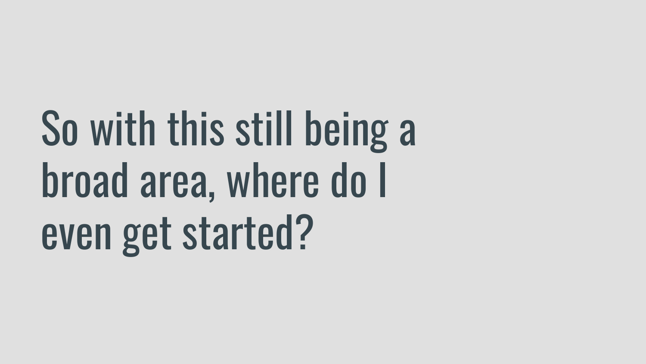## So with this still being a broad area, where do I even get started?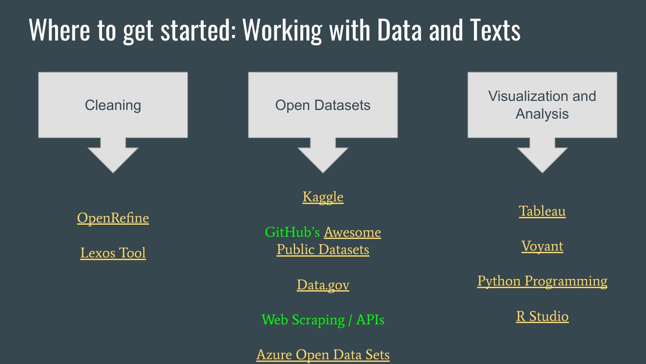### Where to get started: Working with Data and Texts

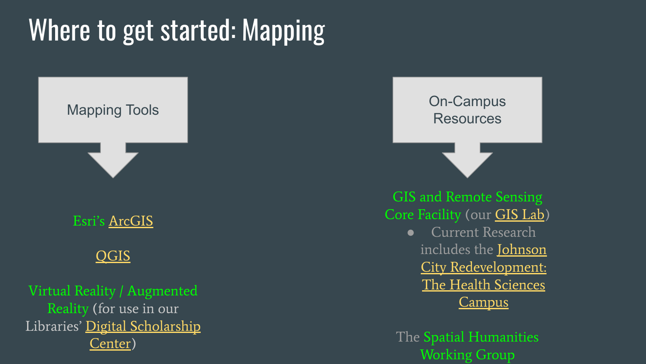## Where to get started: Mapping



Esri's [ArcGIS](https://www.arcgis.com/index.html)

#### [QGIS](https://qgis.org/en/site/)

Virtual Reality / Augmented Reality (for use in our Libraries' [Digital Scholarship](https://www.binghamton.edu/libraries/services/digital-scholarship/) [Center\)](https://www.binghamton.edu/libraries/services/digital-scholarship/)

Mapping Tools **On-Campus** Resources

> GIS and Remote Sensing Core Facility (our [GIS Lab\)](https://www.binghamton.edu/geography/gis/lab_resources.html)

> > ● Current Research includes the [Johnson](https://jc-redevelopment.binghamton.edu/) [City Redevelopment:](https://jc-redevelopment.binghamton.edu/) [The Health Sciences](https://jc-redevelopment.binghamton.edu/) [Campus](https://jc-redevelopment.binghamton.edu/)

The Spatial Humanities Working Group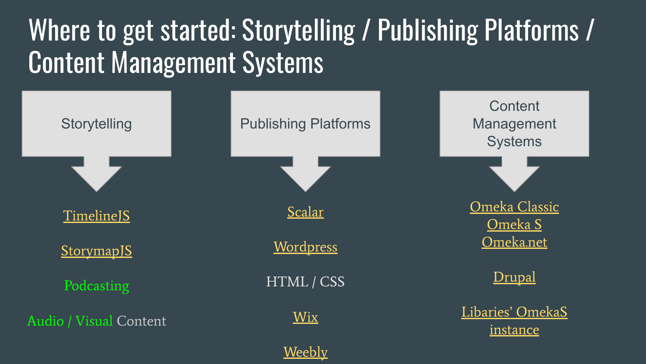## Where to get started: Storytelling / Publishing Platforms / Content Management Systems

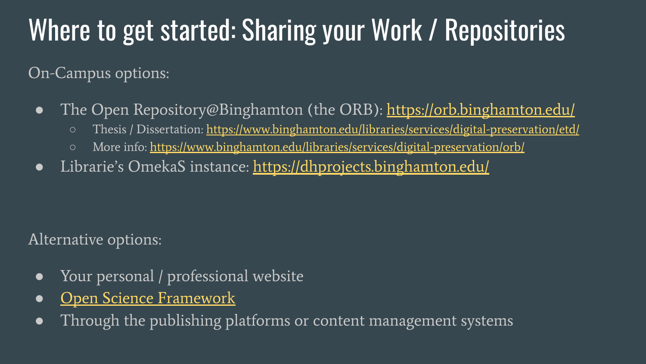### Where to get started: Sharing your Work / Repositories

On-Campus options:

- The Open Repository@Binghamton (the ORB): <https://orb.binghamton.edu/>
	- Thesis / Dissertation:<https://www.binghamton.edu/libraries/services/digital-preservation/etd/>
	- More info:<https://www.binghamton.edu/libraries/services/digital-preservation/orb/>
- Librarie's OmekaS instance: <https://dhprojects.binghamton.edu/>

Alternative options:

- Your personal / professional website
- [Open Science Framework](https://osf.io/)
- Through the publishing platforms or content management systems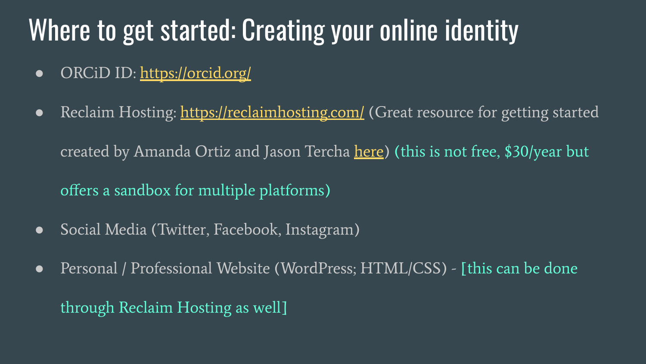### Where to get started: Creating your online identity

- ORCiD ID:<https://orcid.org/>
- Reclaim Hosting: <https://reclaimhosting.com/> (Great resource for getting started created by Amanda Ortiz and Jason Tercha [here\)](https://docs.google.com/document/d/1S6ovc_unwTG76EOJdMEgioX_eJOltOZE1fOTsqpp9jM/edit?usp=sharing) (this is not free, \$30/year but offers a sandbox for multiple platforms)
- Social Media (Twitter, Facebook, Instagram)
- Personal / Professional Website (WordPress; HTML/CSS) [this can be done through Reclaim Hosting as well]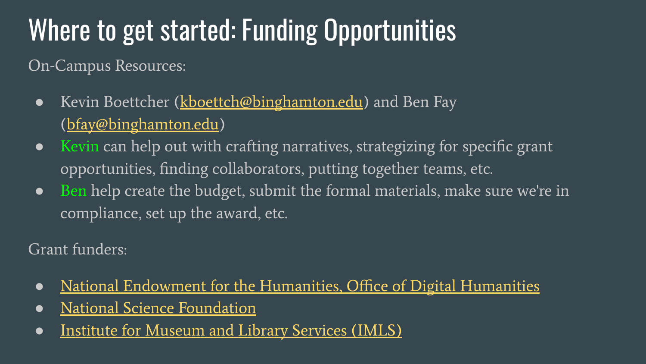## Where to get started: Funding Opportunities

On-Campus Resources:

- Kevin Boettcher ([kboettch@binghamton.edu\)](mailto:kboettch@binghamton.edu) and Ben Fay [\(bfay@binghamton.edu\)](mailto:bfay@binghamton.edu)
- Kevin can help out with crafting narratives, strategizing for specific grant opportunities, finding collaborators, putting together teams, etc.
- Ben help create the budget, submit the formal materials, make sure we're in compliance, set up the award, etc.

Grant funders:

- [National Endowment for the Humanities, Office of Digital Humanities](https://www.neh.gov/divisions/odh)
- [National Science Foundation](https://www.nsf.gov/)
- [Institute for Museum and Library Services \(IMLS\)](https://www.imls.gov/)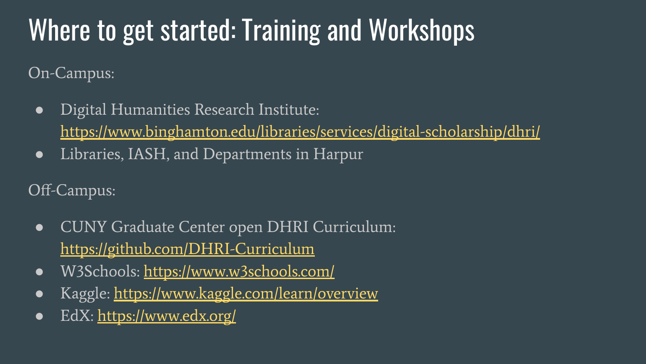## Where to get started: Training and Workshops

On-Campus:

- Digital Humanities Research Institute: <https://www.binghamton.edu/libraries/services/digital-scholarship/dhri/>
- Libraries, IASH, and Departments in Harpur

Off-Campus:

- CUNY Graduate Center open DHRI Curriculum: <https://github.com/DHRI-Curriculum>
- W3Schools:<https://www.w3schools.com/>
- Kaggle: <https://www.kaggle.com/learn/overview>
- EdX: <https://www.edx.org/>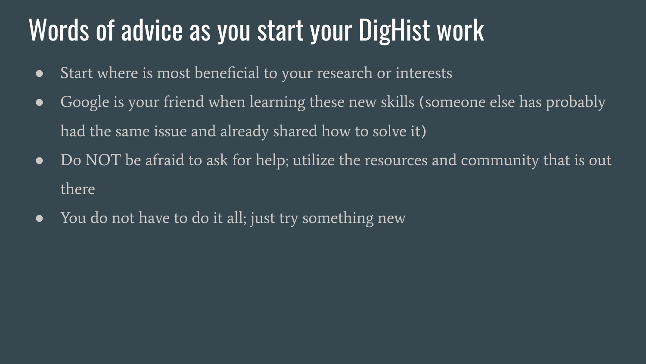### Words of advice as you start your DigHist work

- Start where is most beneficial to your research or interests
- Google is your friend when learning these new skills (someone else has probably had the same issue and already shared how to solve it)
- Do NOT be afraid to ask for help; utilize the resources and community that is out there
- You do not have to do it all; just try something new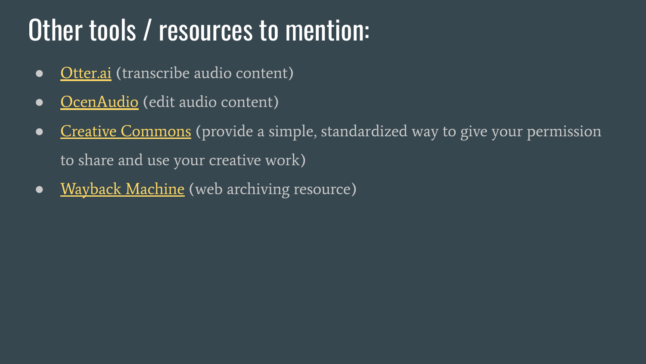### Other tools / resources to mention:

- [Otter.ai](https://otter.ai/login) (transcribe audio content)
- [OcenAudio](https://www.ocenaudio.com/) (edit audio content)
- [Creative Commons](https://creativecommons.org/share-your-work/) (provide a simple, standardized way to give your permission to share and use your creative work)
- [Wayback Machine](https://archive.org/web/) (web archiving resource)